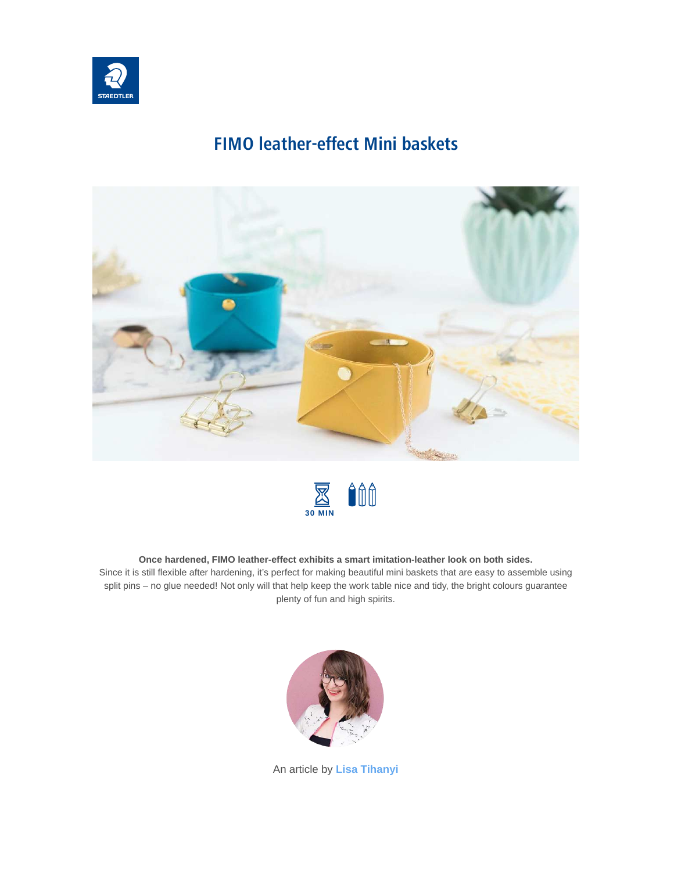

## **FIMO leather-effect Mini baskets**





#### **Once hardened, FIMO leather-effect exhibits a smart imitation-leather look on both sides.**

Since it is still flexible after hardening, it's perfect for making beautiful mini baskets that are easy to assemble using split pins – no glue needed! Not only will that help keep the work table nice and tidy, the bright colours guarantee plenty of fun and high spirits.



An article by **[Lisa Tihanyi](https://www.staedtler.com/dk/en/discover/lisa-tihanyi/)**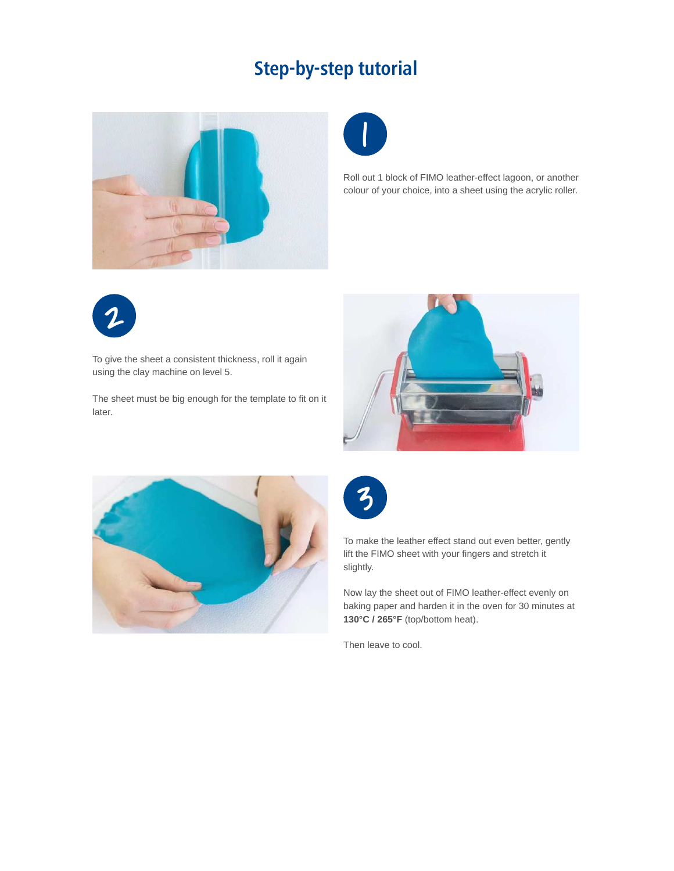# **Step-by-step tutorial**





Roll out 1 block of FIMO leather-effect lagoon, or another colour of your choice, into a sheet using the acrylic roller.



To give the sheet a consistent thickness, roll it again using the clay machine on level 5.

The sheet must be big enough for the template to fit on it later.







To make the leather effect stand out even better, gently lift the FIMO sheet with your fingers and stretch it slightly.

Now lay the sheet out of FIMO leather-effect evenly on baking paper and harden it in the oven for 30 minutes at **130°C / 265°F** (top/bottom heat).

Then leave to cool.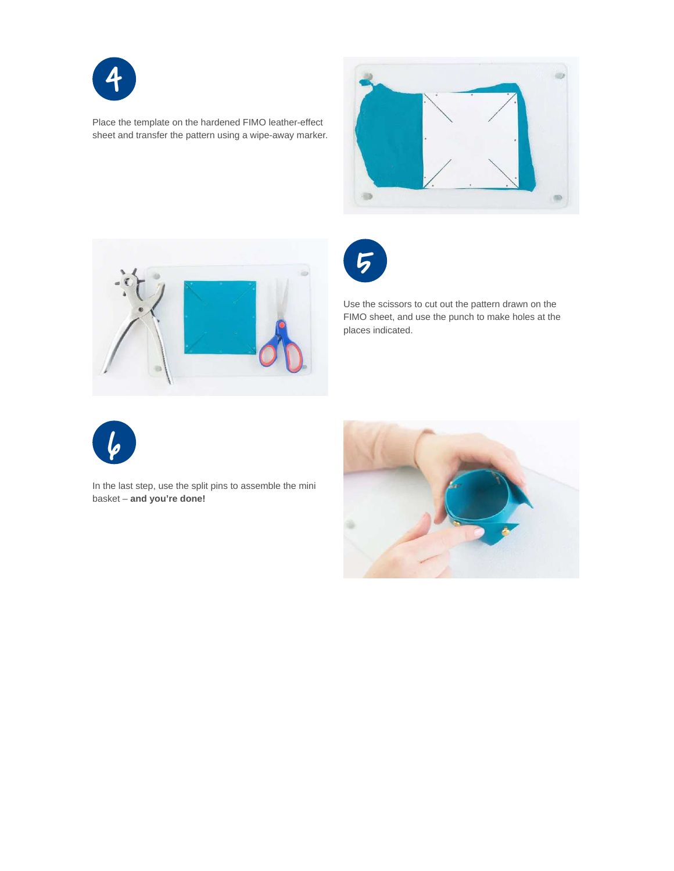

Place the template on the hardened FIMO leather-effect sheet and transfer the pattern using a wipe-away marker.





5

Use the scissors to cut out the pattern drawn on the FIMO sheet, and use the punch to make holes at the places indicated.



In the last step, use the split pins to assemble the mini basket – **and you're done!**